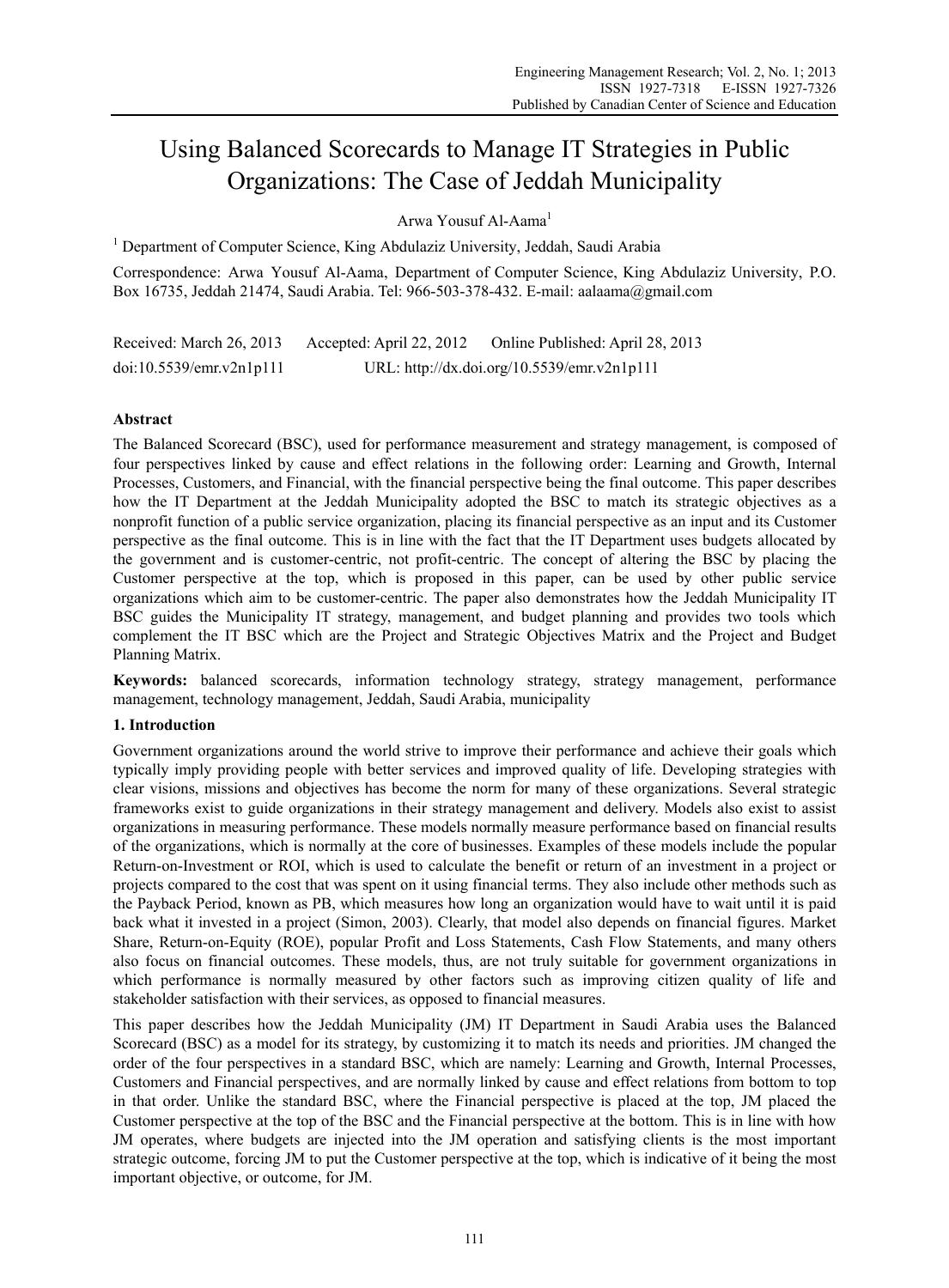# Using Balanced Scorecards to Manage IT Strategies in Public Organizations: The Case of Jeddah Municipality

Arwa Yousuf Al-Aama<sup>1</sup>

<sup>1</sup> Department of Computer Science, King Abdulaziz University, Jeddah, Saudi Arabia

Correspondence: Arwa Yousuf Al-Aama, Department of Computer Science, King Abdulaziz University, P.O. Box 16735, Jeddah 21474, Saudi Arabia. Tel: 966-503-378-432. E-mail: aalaama@gmail.com

Received: March 26, 2013 Accepted: April 22, 2012 Online Published: April 28, 2013 doi:10.5539/emr.v2n1p111 URL: http://dx.doi.org/10.5539/emr.v2n1p111

# **Abstract**

The Balanced Scorecard (BSC), used for performance measurement and strategy management, is composed of four perspectives linked by cause and effect relations in the following order: Learning and Growth, Internal Processes, Customers, and Financial, with the financial perspective being the final outcome. This paper describes how the IT Department at the Jeddah Municipality adopted the BSC to match its strategic objectives as a nonprofit function of a public service organization, placing its financial perspective as an input and its Customer perspective as the final outcome. This is in line with the fact that the IT Department uses budgets allocated by the government and is customer-centric, not profit-centric. The concept of altering the BSC by placing the Customer perspective at the top, which is proposed in this paper, can be used by other public service organizations which aim to be customer-centric. The paper also demonstrates how the Jeddah Municipality IT BSC guides the Municipality IT strategy, management, and budget planning and provides two tools which complement the IT BSC which are the Project and Strategic Objectives Matrix and the Project and Budget Planning Matrix.

**Keywords:** balanced scorecards, information technology strategy, strategy management, performance management, technology management, Jeddah, Saudi Arabia, municipality

# **1. Introduction**

Government organizations around the world strive to improve their performance and achieve their goals which typically imply providing people with better services and improved quality of life. Developing strategies with clear visions, missions and objectives has become the norm for many of these organizations. Several strategic frameworks exist to guide organizations in their strategy management and delivery. Models also exist to assist organizations in measuring performance. These models normally measure performance based on financial results of the organizations, which is normally at the core of businesses. Examples of these models include the popular Return-on-Investment or ROI, which is used to calculate the benefit or return of an investment in a project or projects compared to the cost that was spent on it using financial terms. They also include other methods such as the Payback Period, known as PB, which measures how long an organization would have to wait until it is paid back what it invested in a project (Simon, 2003). Clearly, that model also depends on financial figures. Market Share, Return-on-Equity (ROE), popular Profit and Loss Statements, Cash Flow Statements, and many others also focus on financial outcomes. These models, thus, are not truly suitable for government organizations in which performance is normally measured by other factors such as improving citizen quality of life and stakeholder satisfaction with their services, as opposed to financial measures.

This paper describes how the Jeddah Municipality (JM) IT Department in Saudi Arabia uses the Balanced Scorecard (BSC) as a model for its strategy, by customizing it to match its needs and priorities. JM changed the order of the four perspectives in a standard BSC, which are namely: Learning and Growth, Internal Processes, Customers and Financial perspectives, and are normally linked by cause and effect relations from bottom to top in that order. Unlike the standard BSC, where the Financial perspective is placed at the top, JM placed the Customer perspective at the top of the BSC and the Financial perspective at the bottom. This is in line with how JM operates, where budgets are injected into the JM operation and satisfying clients is the most important strategic outcome, forcing JM to put the Customer perspective at the top, which is indicative of it being the most important objective, or outcome, for JM.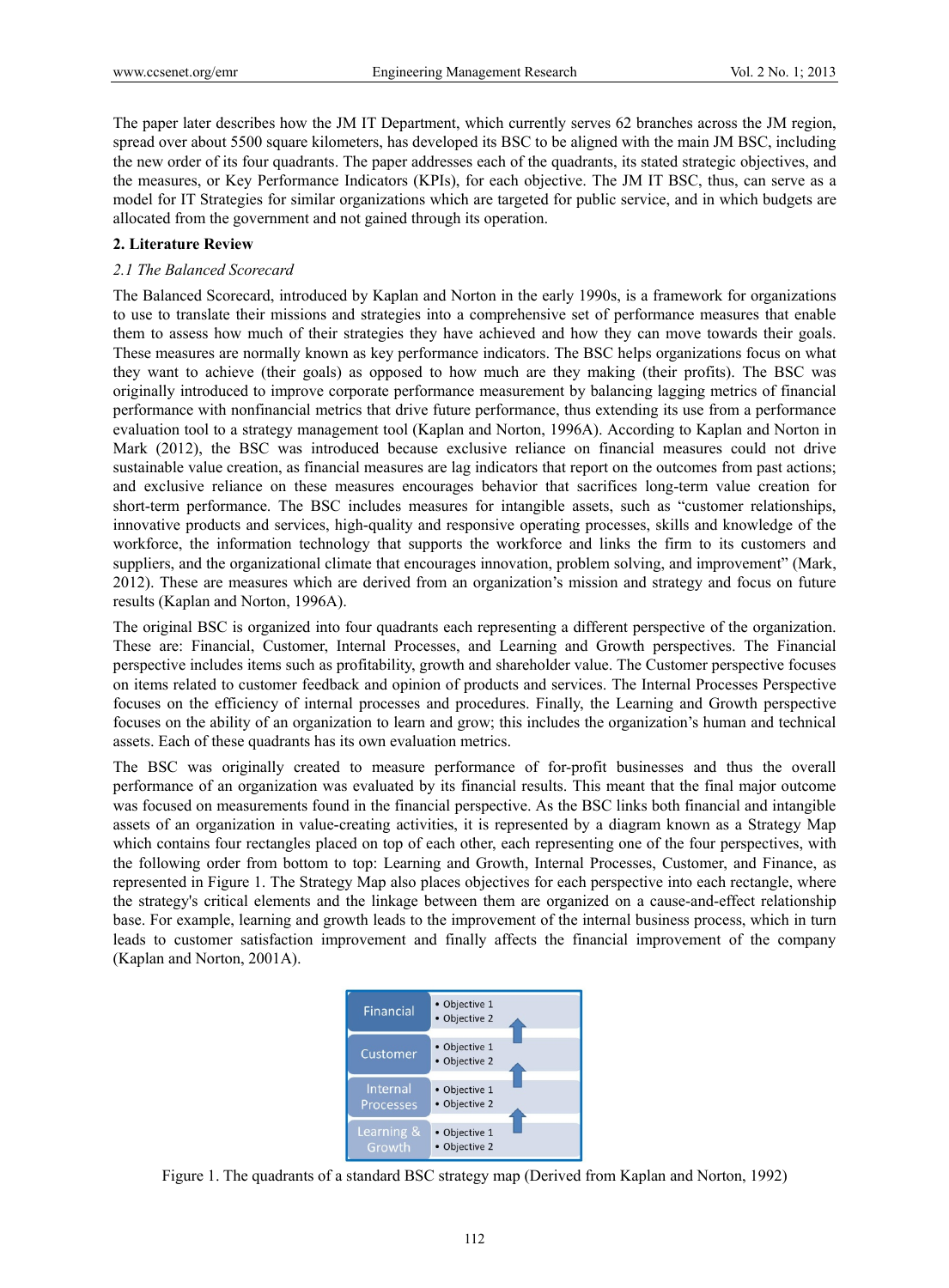The paper later describes how the JM IT Department, which currently serves 62 branches across the JM region, spread over about 5500 square kilometers, has developed its BSC to be aligned with the main JM BSC, including the new order of its four quadrants. The paper addresses each of the quadrants, its stated strategic objectives, and the measures, or Key Performance Indicators (KPIs), for each objective. The JM IT BSC, thus, can serve as a model for IT Strategies for similar organizations which are targeted for public service, and in which budgets are allocated from the government and not gained through its operation.

# **2. Literature Review**

# *2.1 The Balanced Scorecard*

The Balanced Scorecard, introduced by Kaplan and Norton in the early 1990s, is a framework for organizations to use to translate their missions and strategies into a comprehensive set of performance measures that enable them to assess how much of their strategies they have achieved and how they can move towards their goals. These measures are normally known as key performance indicators. The BSC helps organizations focus on what they want to achieve (their goals) as opposed to how much are they making (their profits). The BSC was originally introduced to improve corporate performance measurement by balancing lagging metrics of financial performance with nonfinancial metrics that drive future performance, thus extending its use from a performance evaluation tool to a strategy management tool (Kaplan and Norton, 1996A). According to Kaplan and Norton in Mark (2012), the BSC was introduced because exclusive reliance on financial measures could not drive sustainable value creation, as financial measures are lag indicators that report on the outcomes from past actions; and exclusive reliance on these measures encourages behavior that sacrifices long-term value creation for short-term performance. The BSC includes measures for intangible assets, such as "customer relationships, innovative products and services, high-quality and responsive operating processes, skills and knowledge of the workforce, the information technology that supports the workforce and links the firm to its customers and suppliers, and the organizational climate that encourages innovation, problem solving, and improvement" (Mark, 2012). These are measures which are derived from an organization's mission and strategy and focus on future results (Kaplan and Norton, 1996A).

The original BSC is organized into four quadrants each representing a different perspective of the organization. These are: Financial, Customer, Internal Processes, and Learning and Growth perspectives. The Financial perspective includes items such as profitability, growth and shareholder value. The Customer perspective focuses on items related to customer feedback and opinion of products and services. The Internal Processes Perspective focuses on the efficiency of internal processes and procedures. Finally, the Learning and Growth perspective focuses on the ability of an organization to learn and grow; this includes the organization's human and technical assets. Each of these quadrants has its own evaluation metrics.

The BSC was originally created to measure performance of for-profit businesses and thus the overall performance of an organization was evaluated by its financial results. This meant that the final major outcome was focused on measurements found in the financial perspective. As the BSC links both financial and intangible assets of an organization in value-creating activities, it is represented by a diagram known as a Strategy Map which contains four rectangles placed on top of each other, each representing one of the four perspectives, with the following order from bottom to top: Learning and Growth, Internal Processes, Customer, and Finance, as represented in Figure 1. The Strategy Map also places objectives for each perspective into each rectangle, where the strategy's critical elements and the linkage between them are organized on a cause-and-effect relationship base. For example, learning and growth leads to the improvement of the internal business process, which in turn leads to customer satisfaction improvement and finally affects the financial improvement of the company (Kaplan and Norton, 2001A).



Figure 1. The quadrants of a standard BSC strategy map (Derived from Kaplan and Norton, 1992)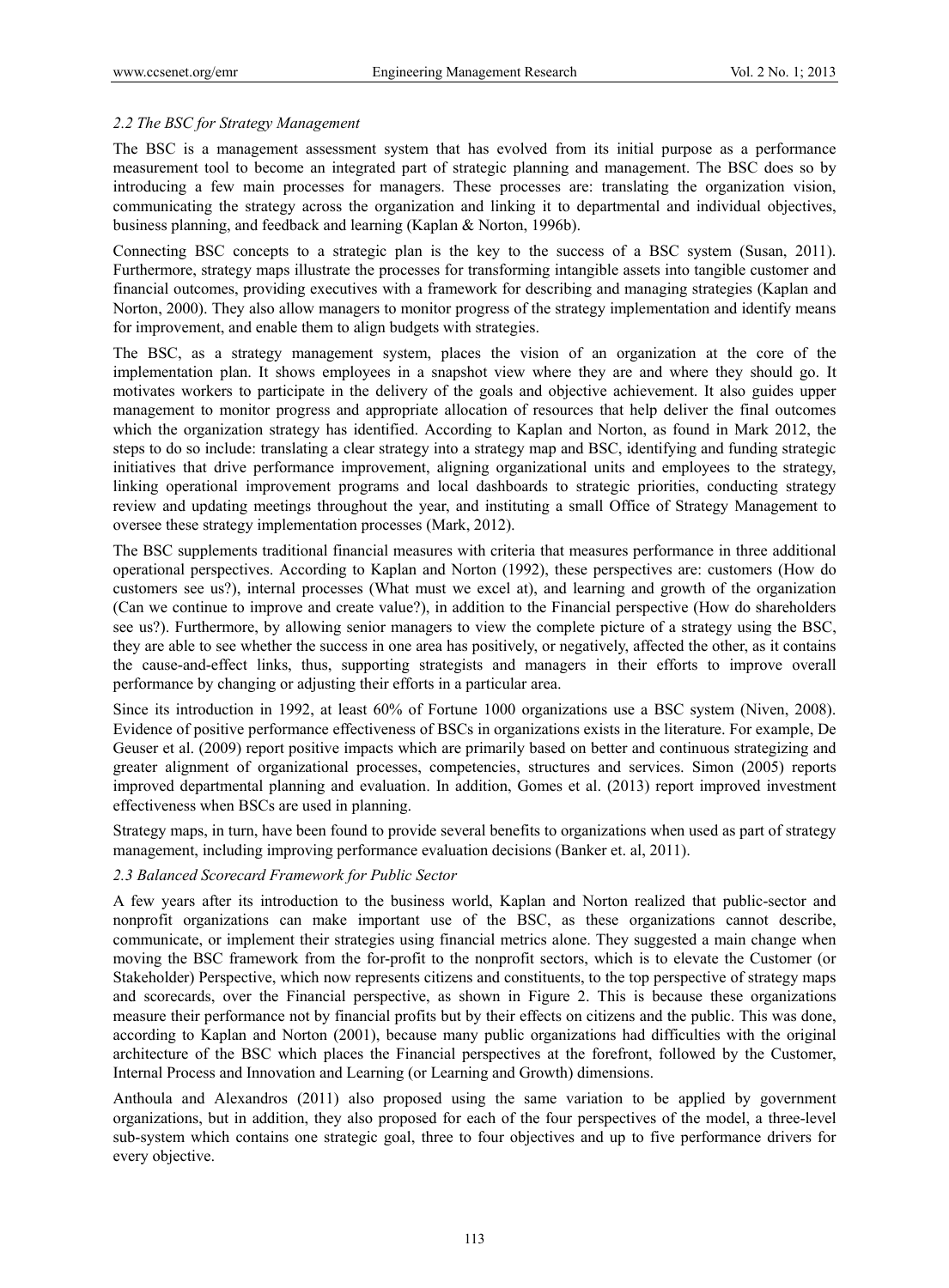# *2.2 The BSC for Strategy Management*

The BSC is a management assessment system that has evolved from its initial purpose as a performance measurement tool to become an integrated part of strategic planning and management. The BSC does so by introducing a few main processes for managers. These processes are: translating the organization vision, communicating the strategy across the organization and linking it to departmental and individual objectives, business planning, and feedback and learning (Kaplan & Norton, 1996b).

Connecting BSC concepts to a strategic plan is the key to the success of a BSC system (Susan, 2011). Furthermore, strategy maps illustrate the processes for transforming intangible assets into tangible customer and financial outcomes, providing executives with a framework for describing and managing strategies (Kaplan and Norton, 2000). They also allow managers to monitor progress of the strategy implementation and identify means for improvement, and enable them to align budgets with strategies.

The BSC, as a strategy management system, places the vision of an organization at the core of the implementation plan. It shows employees in a snapshot view where they are and where they should go. It motivates workers to participate in the delivery of the goals and objective achievement. It also guides upper management to monitor progress and appropriate allocation of resources that help deliver the final outcomes which the organization strategy has identified. According to Kaplan and Norton, as found in Mark 2012, the steps to do so include: translating a clear strategy into a strategy map and BSC, identifying and funding strategic initiatives that drive performance improvement, aligning organizational units and employees to the strategy, linking operational improvement programs and local dashboards to strategic priorities, conducting strategy review and updating meetings throughout the year, and instituting a small Office of Strategy Management to oversee these strategy implementation processes (Mark, 2012).

The BSC supplements traditional financial measures with criteria that measures performance in three additional operational perspectives. According to Kaplan and Norton (1992), these perspectives are: customers (How do customers see us?), internal processes (What must we excel at), and learning and growth of the organization (Can we continue to improve and create value?), in addition to the Financial perspective (How do shareholders see us?). Furthermore, by allowing senior managers to view the complete picture of a strategy using the BSC, they are able to see whether the success in one area has positively, or negatively, affected the other, as it contains the cause-and-effect links, thus, supporting strategists and managers in their efforts to improve overall performance by changing or adjusting their efforts in a particular area.

Since its introduction in 1992, at least 60% of Fortune 1000 organizations use a BSC system (Niven, 2008). Evidence of positive performance effectiveness of BSCs in organizations exists in the literature. For example, De Geuser et al. (2009) report positive impacts which are primarily based on better and continuous strategizing and greater alignment of organizational processes, competencies, structures and services. Simon (2005) reports improved departmental planning and evaluation. In addition, Gomes et al. (2013) report improved investment effectiveness when BSCs are used in planning.

Strategy maps, in turn, have been found to provide several benefits to organizations when used as part of strategy management, including improving performance evaluation decisions (Banker et. al, 2011).

# *2.3 Balanced Scorecard Framework for Public Sector*

A few years after its introduction to the business world, Kaplan and Norton realized that public-sector and nonprofit organizations can make important use of the BSC, as these organizations cannot describe, communicate, or implement their strategies using financial metrics alone. They suggested a main change when moving the BSC framework from the for-profit to the nonprofit sectors, which is to elevate the Customer (or Stakeholder) Perspective, which now represents citizens and constituents, to the top perspective of strategy maps and scorecards, over the Financial perspective, as shown in Figure 2. This is because these organizations measure their performance not by financial profits but by their effects on citizens and the public. This was done, according to Kaplan and Norton (2001), because many public organizations had difficulties with the original architecture of the BSC which places the Financial perspectives at the forefront, followed by the Customer, Internal Process and Innovation and Learning (or Learning and Growth) dimensions.

Anthoula and Alexandros (2011) also proposed using the same variation to be applied by government organizations, but in addition, they also proposed for each of the four perspectives of the model, a three-level sub-system which contains one strategic goal, three to four objectives and up to five performance drivers for every objective.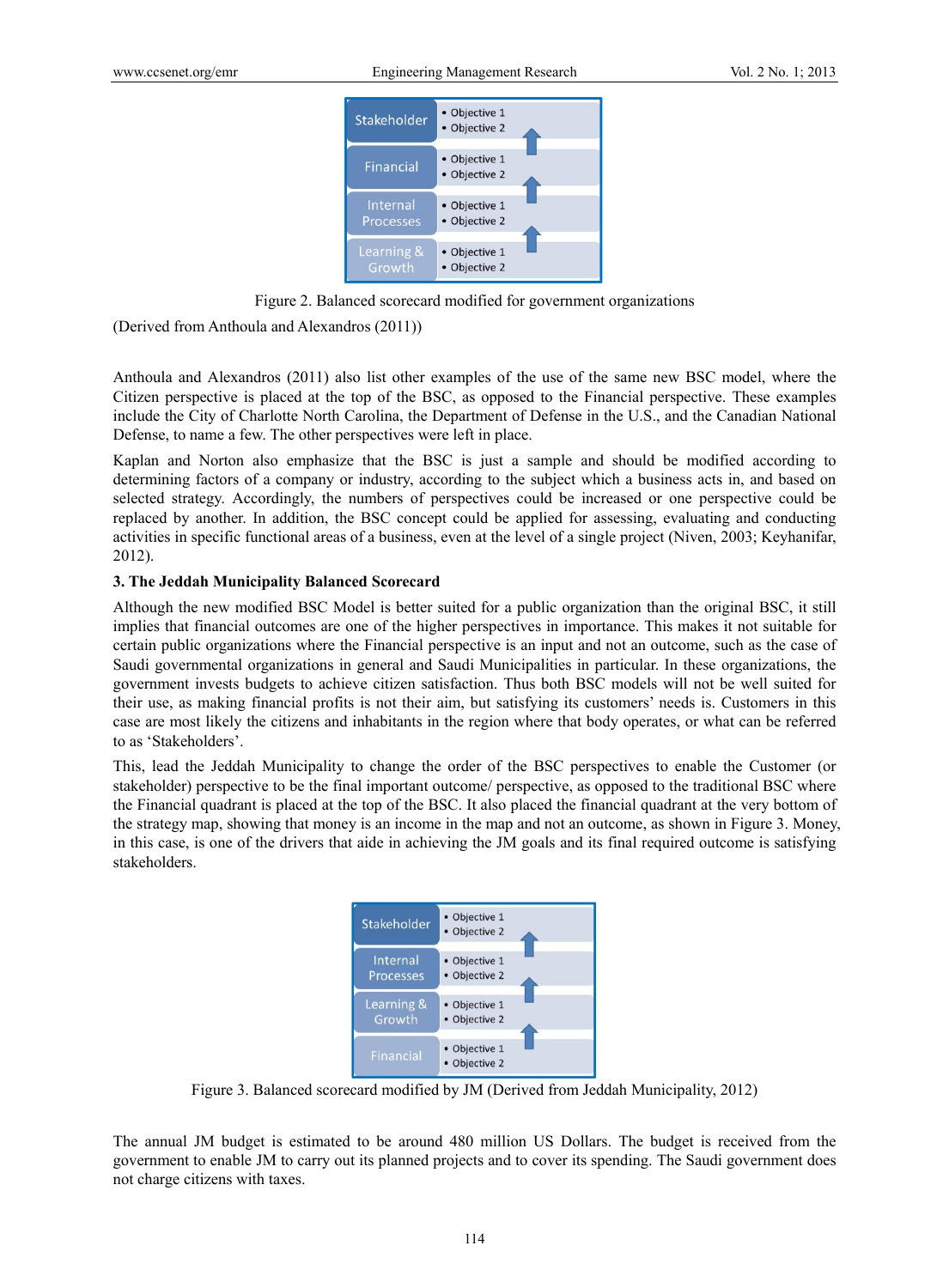

Figure 2. Balanced scorecard modified for government organizations

(Derived from Anthoula and Alexandros (2011))

Anthoula and Alexandros (2011) also list other examples of the use of the same new BSC model, where the Citizen perspective is placed at the top of the BSC, as opposed to the Financial perspective. These examples include the City of Charlotte North Carolina, the Department of Defense in the U.S., and the Canadian National Defense, to name a few. The other perspectives were left in place.

Kaplan and Norton also emphasize that the BSC is just a sample and should be modified according to determining factors of a company or industry, according to the subject which a business acts in, and based on selected strategy. Accordingly, the numbers of perspectives could be increased or one perspective could be replaced by another. In addition, the BSC concept could be applied for assessing, evaluating and conducting activities in specific functional areas of a business, even at the level of a single project (Niven, 2003; Keyhanifar, 2012).

# **3. The Jeddah Municipality Balanced Scorecard**

Although the new modified BSC Model is better suited for a public organization than the original BSC, it still implies that financial outcomes are one of the higher perspectives in importance. This makes it not suitable for certain public organizations where the Financial perspective is an input and not an outcome, such as the case of Saudi governmental organizations in general and Saudi Municipalities in particular. In these organizations, the government invests budgets to achieve citizen satisfaction. Thus both BSC models will not be well suited for their use, as making financial profits is not their aim, but satisfying its customers' needs is. Customers in this case are most likely the citizens and inhabitants in the region where that body operates, or what can be referred to as 'Stakeholders'.

This, lead the Jeddah Municipality to change the order of the BSC perspectives to enable the Customer (or stakeholder) perspective to be the final important outcome/ perspective, as opposed to the traditional BSC where the Financial quadrant is placed at the top of the BSC. It also placed the financial quadrant at the very bottom of the strategy map, showing that money is an income in the map and not an outcome, as shown in Figure 3. Money, in this case, is one of the drivers that aide in achieving the JM goals and its final required outcome is satisfying stakeholders.



Figure 3. Balanced scorecard modified by JM (Derived from Jeddah Municipality, 2012)

The annual JM budget is estimated to be around 480 million US Dollars. The budget is received from the government to enable JM to carry out its planned projects and to cover its spending. The Saudi government does not charge citizens with taxes.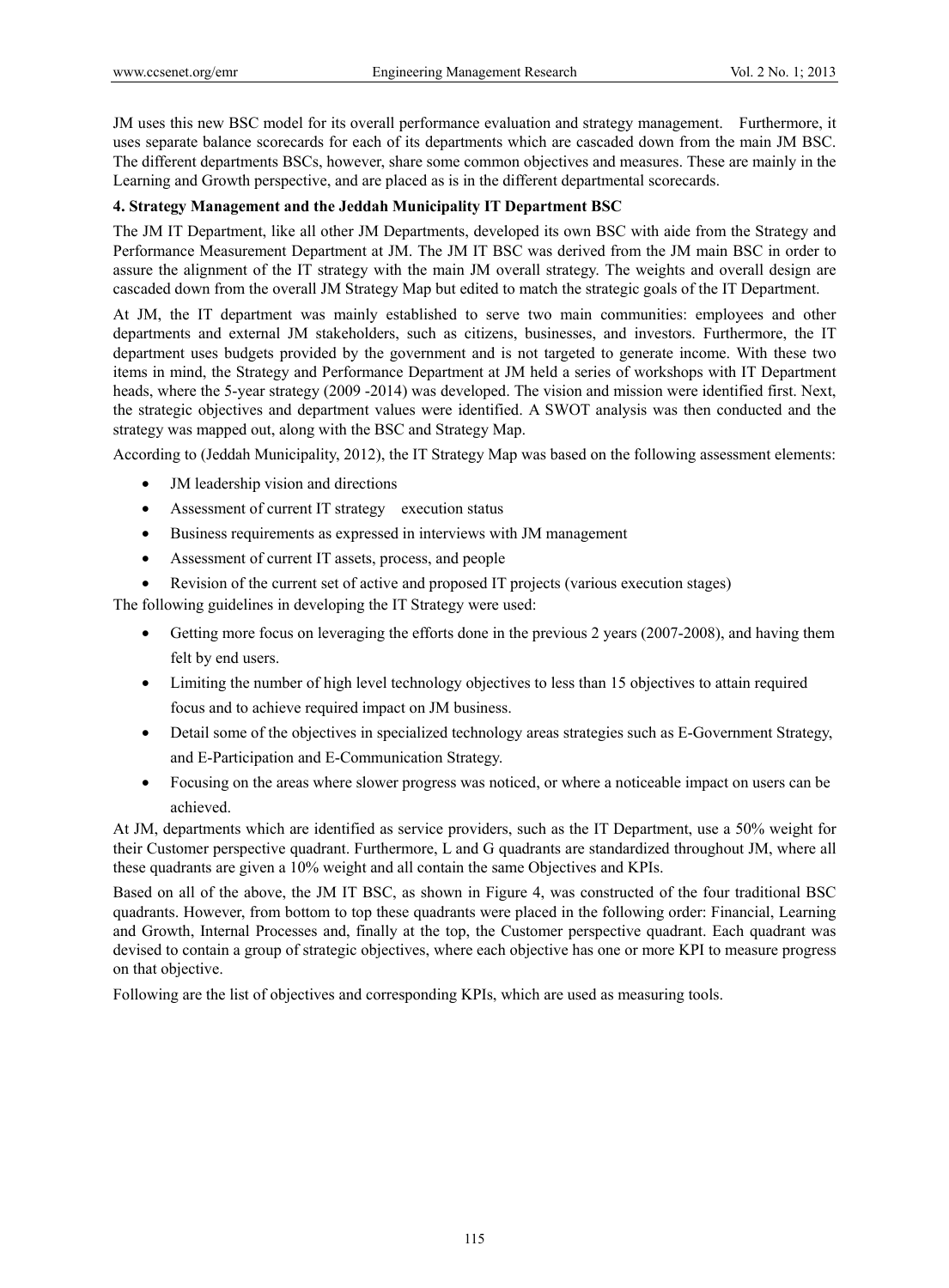JM uses this new BSC model for its overall performance evaluation and strategy management. Furthermore, it uses separate balance scorecards for each of its departments which are cascaded down from the main JM BSC. The different departments BSCs, however, share some common objectives and measures. These are mainly in the Learning and Growth perspective, and are placed as is in the different departmental scorecards.

# **4. Strategy Management and the Jeddah Municipality IT Department BSC**

The JM IT Department, like all other JM Departments, developed its own BSC with aide from the Strategy and Performance Measurement Department at JM. The JM IT BSC was derived from the JM main BSC in order to assure the alignment of the IT strategy with the main JM overall strategy. The weights and overall design are cascaded down from the overall JM Strategy Map but edited to match the strategic goals of the IT Department.

At JM, the IT department was mainly established to serve two main communities: employees and other departments and external JM stakeholders, such as citizens, businesses, and investors. Furthermore, the IT department uses budgets provided by the government and is not targeted to generate income. With these two items in mind, the Strategy and Performance Department at JM held a series of workshops with IT Department heads, where the 5-year strategy (2009 -2014) was developed. The vision and mission were identified first. Next, the strategic objectives and department values were identified. A SWOT analysis was then conducted and the strategy was mapped out, along with the BSC and Strategy Map.

According to (Jeddah Municipality, 2012), the IT Strategy Map was based on the following assessment elements:

- JM leadership vision and directions
- Assessment of current IT strategy execution status
- Business requirements as expressed in interviews with JM management
- Assessment of current IT assets, process, and people
- Revision of the current set of active and proposed IT projects (various execution stages)

The following guidelines in developing the IT Strategy were used:

- Getting more focus on leveraging the efforts done in the previous 2 years (2007-2008), and having them felt by end users.
- Limiting the number of high level technology objectives to less than 15 objectives to attain required focus and to achieve required impact on JM business.
- Detail some of the objectives in specialized technology areas strategies such as E-Government Strategy, and E-Participation and E-Communication Strategy.
- Focusing on the areas where slower progress was noticed, or where a noticeable impact on users can be achieved.

At JM, departments which are identified as service providers, such as the IT Department, use a 50% weight for their Customer perspective quadrant. Furthermore, L and G quadrants are standardized throughout JM, where all these quadrants are given a 10% weight and all contain the same Objectives and KPIs.

Based on all of the above, the JM IT BSC, as shown in Figure 4, was constructed of the four traditional BSC quadrants. However, from bottom to top these quadrants were placed in the following order: Financial, Learning and Growth, Internal Processes and, finally at the top, the Customer perspective quadrant. Each quadrant was devised to contain a group of strategic objectives, where each objective has one or more KPI to measure progress on that objective.

Following are the list of objectives and corresponding KPIs, which are used as measuring tools.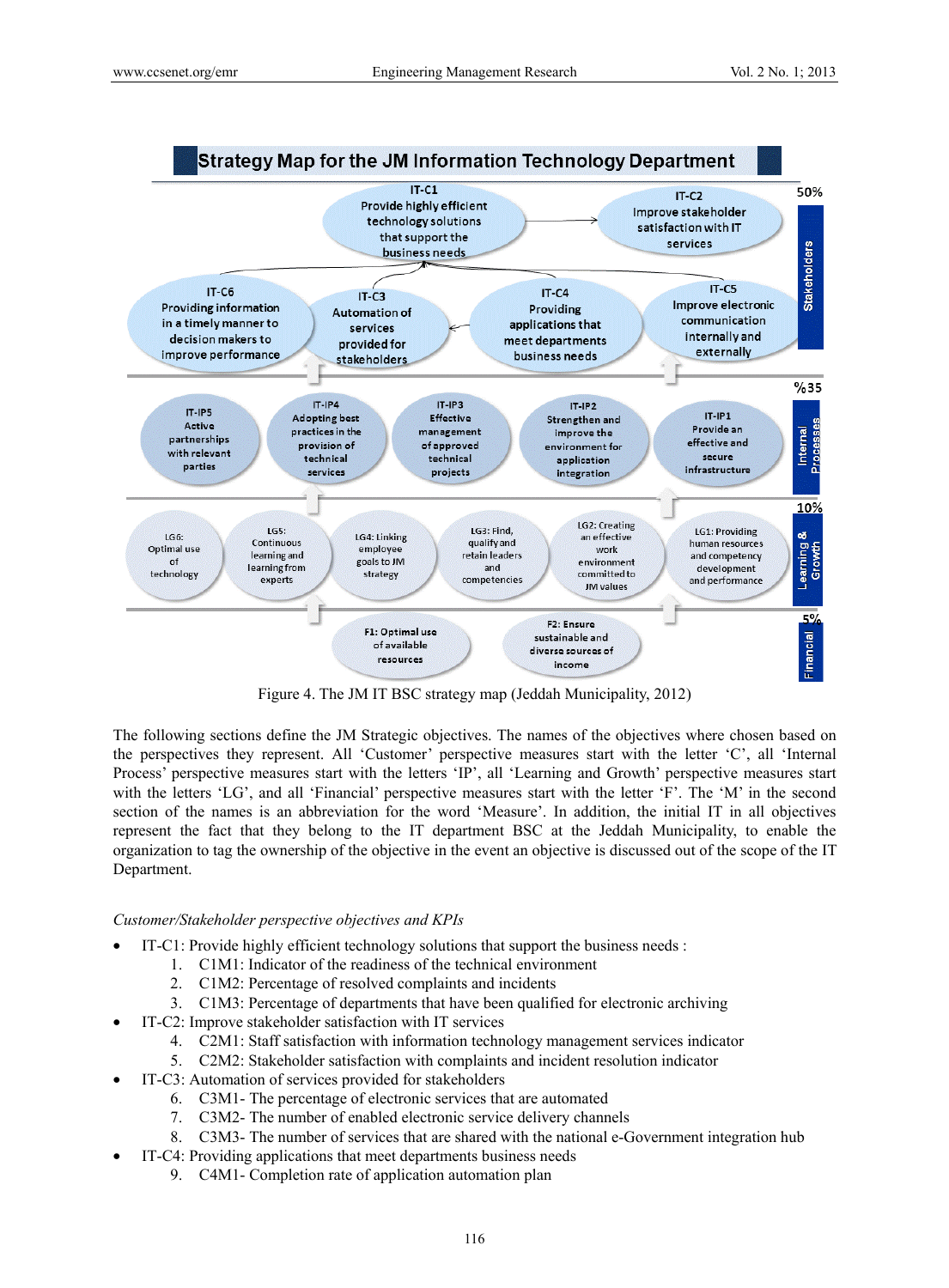

Figure 4. The JM IT BSC strategy map (Jeddah Municipality, 2012)

The following sections define the JM Strategic objectives. The names of the objectives where chosen based on the perspectives they represent. All 'Customer' perspective measures start with the letter 'C', all 'Internal Process' perspective measures start with the letters 'IP', all 'Learning and Growth' perspective measures start with the letters 'LG', and all 'Financial' perspective measures start with the letter 'F'. The 'M' in the second section of the names is an abbreviation for the word 'Measure'. In addition, the initial IT in all objectives represent the fact that they belong to the IT department BSC at the Jeddah Municipality, to enable the organization to tag the ownership of the objective in the event an objective is discussed out of the scope of the IT Department.

# *Customer/Stakeholder perspective objectives and KPIs*

- IT-C1: Provide highly efficient technology solutions that support the business needs :
	- 1. C1M1: Indicator of the readiness of the technical environment
	- 2. C1M2: Percentage of resolved complaints and incidents
	- 3. C1M3: Percentage of departments that have been qualified for electronic archiving
- IT-C2: Improve stakeholder satisfaction with IT services
	- 4. C2M1: Staff satisfaction with information technology management services indicator
	- 5. C2M2: Stakeholder satisfaction with complaints and incident resolution indicator
- IT-C3: Automation of services provided for stakeholders
	- 6. C3M1- The percentage of electronic services that are automated
	- 7. C3M2- The number of enabled electronic service delivery channels
	- 8. C3M3- The number of services that are shared with the national e-Government integration hub
- IT-C4: Providing applications that meet departments business needs
	- 9. C4M1- Completion rate of application automation plan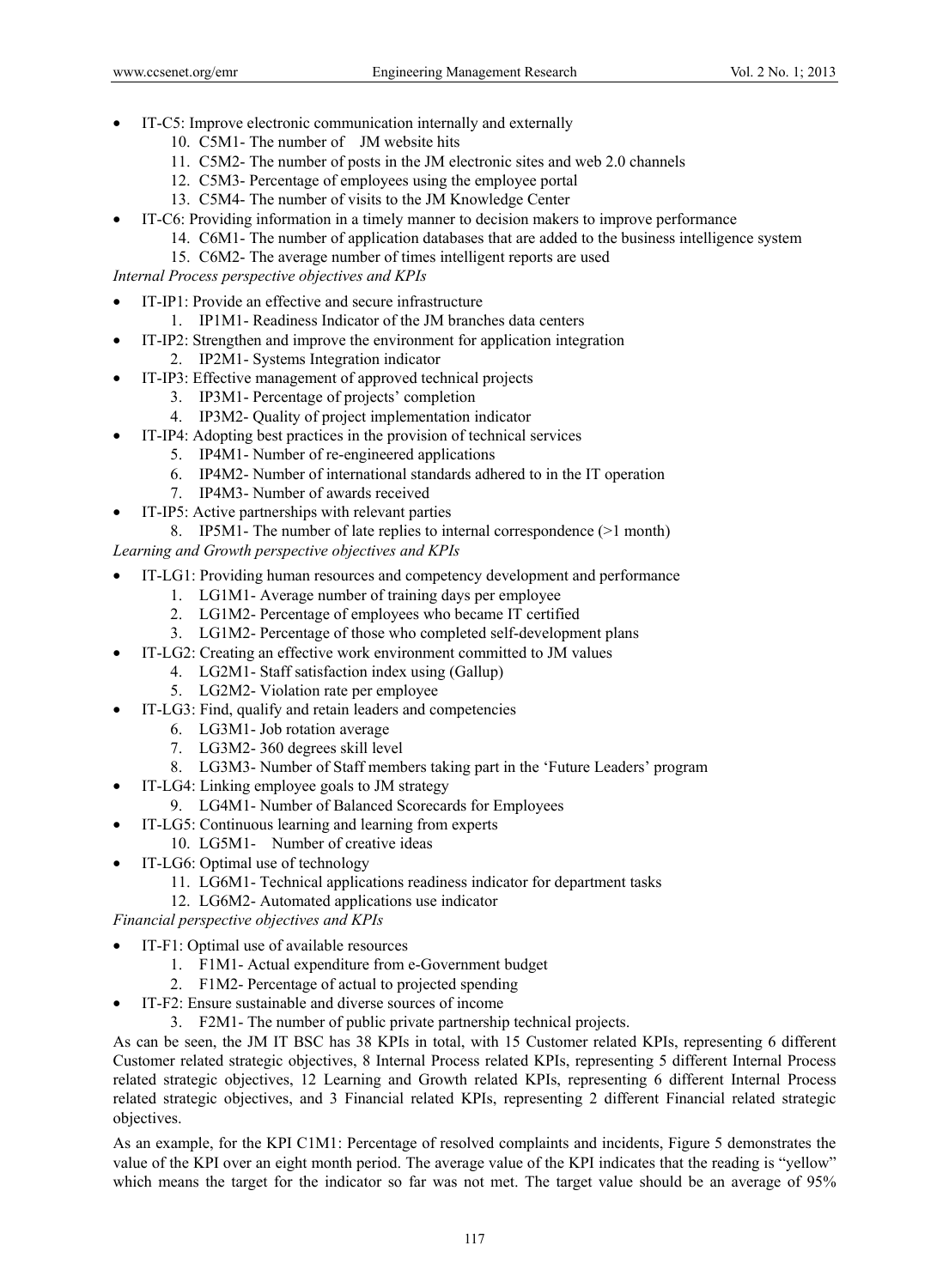- IT-C5: Improve electronic communication internally and externally
	- 10. C5M1- The number of JM website hits
	- 11. C5M2- The number of posts in the JM electronic sites and web 2.0 channels
	- 12. C5M3- Percentage of employees using the employee portal
	- 13. C5M4- The number of visits to the JM Knowledge Center
- IT-C6: Providing information in a timely manner to decision makers to improve performance
	- 14. C6M1- The number of application databases that are added to the business intelligence system
	- 15. C6M2- The average number of times intelligent reports are used

*Internal Process perspective objectives and KPIs* 

- IT-IP1: Provide an effective and secure infrastructure
	- 1. IP1M1- Readiness Indicator of the JM branches data centers
	- IT-IP2: Strengthen and improve the environment for application integration
		- 2. IP2M1- Systems Integration indicator
- IT-IP3: Effective management of approved technical projects
	- 3. IP3M1- Percentage of projects' completion
	- 4. IP3M2- Quality of project implementation indicator
- IT-IP4: Adopting best practices in the provision of technical services
	- 5. IP4M1- Number of re-engineered applications
	- 6. IP4M2- Number of international standards adhered to in the IT operation
	- 7. IP4M3- Number of awards received
- IT-IP5: Active partnerships with relevant parties
- 8. IP5M1- The number of late replies to internal correspondence (>1 month)

*Learning and Growth perspective objectives and KPIs* 

- IT-LG1: Providing human resources and competency development and performance
	- 1. LG1M1- Average number of training days per employee
	- 2. LG1M2- Percentage of employees who became IT certified
	- 3. LG1M2- Percentage of those who completed self-development plans
- IT-LG2: Creating an effective work environment committed to JM values
	- 4. LG2M1- Staff satisfaction index using (Gallup)
	- 5. LG2M2- Violation rate per employee
- IT-LG3: Find, qualify and retain leaders and competencies
	- 6. LG3M1- Job rotation average
	- 7. LG3M2- 360 degrees skill level
	- 8. LG3M3- Number of Staff members taking part in the 'Future Leaders' program
- IT-LG4: Linking employee goals to JM strategy
	- 9. LG4M1- Number of Balanced Scorecards for Employees
	- IT-LG5: Continuous learning and learning from experts
		- 10. LG5M1- Number of creative ideas
- IT-LG6: Optimal use of technology
	- 11. LG6M1- Technical applications readiness indicator for department tasks
	- 12. LG6M2- Automated applications use indicator

*Financial perspective objectives and KPIs* 

- IT-F1: Optimal use of available resources
	- 1. F1M1- Actual expenditure from e-Government budget
	- 2. F1M2- Percentage of actual to projected spending
- IT-F2: Ensure sustainable and diverse sources of income
	- 3. F2M1- The number of public private partnership technical projects.

As can be seen, the JM IT BSC has 38 KPIs in total, with 15 Customer related KPIs, representing 6 different Customer related strategic objectives, 8 Internal Process related KPIs, representing 5 different Internal Process related strategic objectives, 12 Learning and Growth related KPIs, representing 6 different Internal Process related strategic objectives, and 3 Financial related KPIs, representing 2 different Financial related strategic objectives.

As an example, for the KPI C1M1: Percentage of resolved complaints and incidents, Figure 5 demonstrates the value of the KPI over an eight month period. The average value of the KPI indicates that the reading is "yellow" which means the target for the indicator so far was not met. The target value should be an average of 95%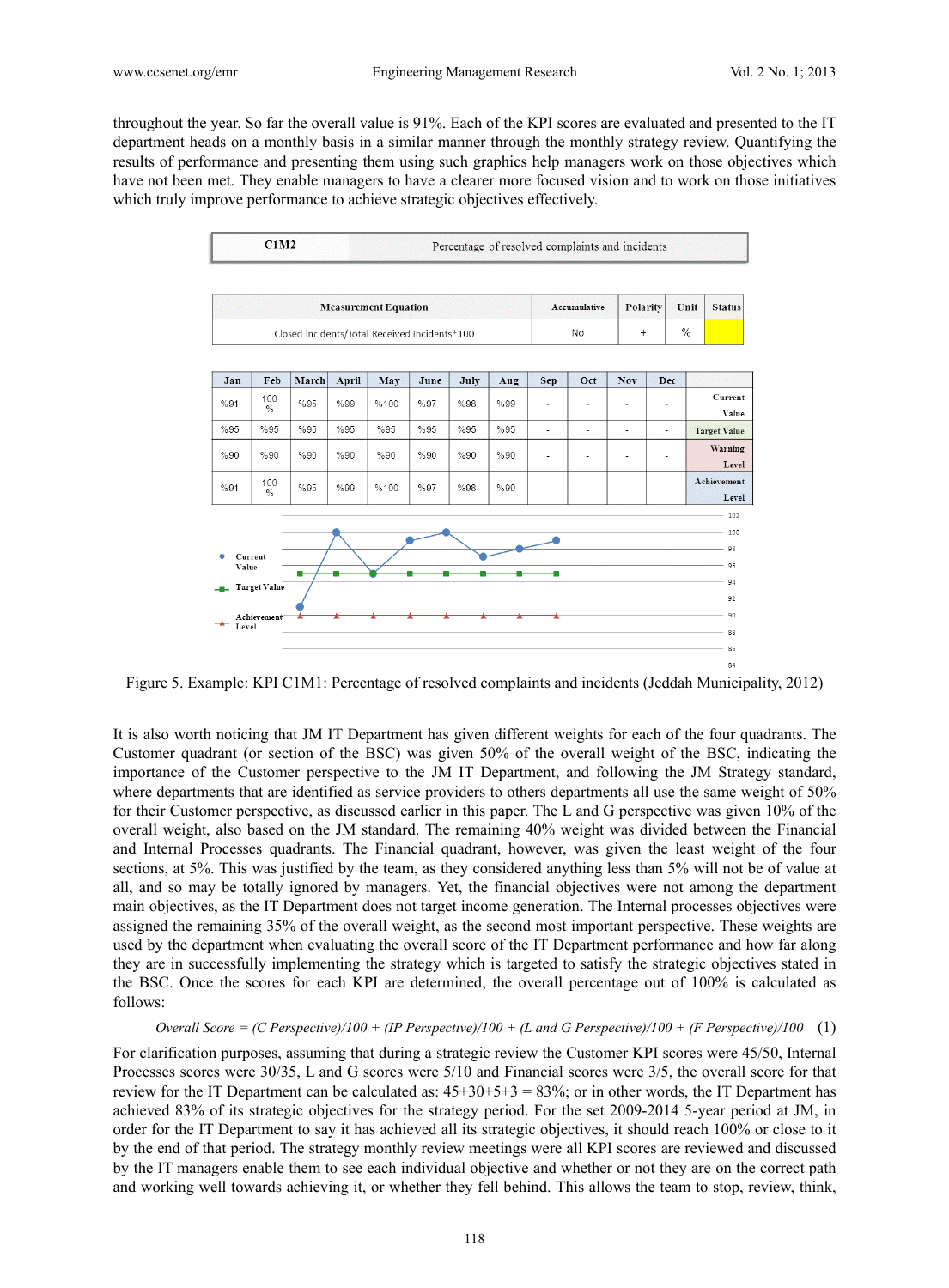throughout the year. So far the overall value is 91%. Each of the KPI scores are evaluated and presented to the IT department heads on a monthly basis in a similar manner through the monthly strategy review. Quantifying the results of performance and presenting them using such graphics help managers work on those objectives which have not been met. They enable managers to have a clearer more focused vision and to work on those initiatives which truly improve performance to achieve strategic objectives effectively.



Figure 5. Example: KPI C1M1: Percentage of resolved complaints and incidents (Jeddah Municipality, 2012)

It is also worth noticing that JM IT Department has given different weights for each of the four quadrants. The Customer quadrant (or section of the BSC) was given 50% of the overall weight of the BSC, indicating the importance of the Customer perspective to the JM IT Department, and following the JM Strategy standard, where departments that are identified as service providers to others departments all use the same weight of 50% for their Customer perspective, as discussed earlier in this paper. The L and G perspective was given 10% of the overall weight, also based on the JM standard. The remaining 40% weight was divided between the Financial and Internal Processes quadrants. The Financial quadrant, however, was given the least weight of the four sections, at 5%. This was justified by the team, as they considered anything less than 5% will not be of value at all, and so may be totally ignored by managers. Yet, the financial objectives were not among the department main objectives, as the IT Department does not target income generation. The Internal processes objectives were assigned the remaining 35% of the overall weight, as the second most important perspective. These weights are used by the department when evaluating the overall score of the IT Department performance and how far along they are in successfully implementing the strategy which is targeted to satisfy the strategic objectives stated in the BSC. Once the scores for each KPI are determined, the overall percentage out of 100% is calculated as follows:

## *Overall Score = (C Perspective)/100 + (IP Perspective)/100 + (L and G Perspective)/100 + (F Perspective)/100* (1)

For clarification purposes, assuming that during a strategic review the Customer KPI scores were 45/50, Internal Processes scores were 30/35, L and G scores were 5/10 and Financial scores were 3/5, the overall score for that review for the IT Department can be calculated as:  $45+30+5+3 = 83\%$ ; or in other words, the IT Department has achieved 83% of its strategic objectives for the strategy period. For the set 2009-2014 5-year period at JM, in order for the IT Department to say it has achieved all its strategic objectives, it should reach 100% or close to it by the end of that period. The strategy monthly review meetings were all KPI scores are reviewed and discussed by the IT managers enable them to see each individual objective and whether or not they are on the correct path and working well towards achieving it, or whether they fell behind. This allows the team to stop, review, think,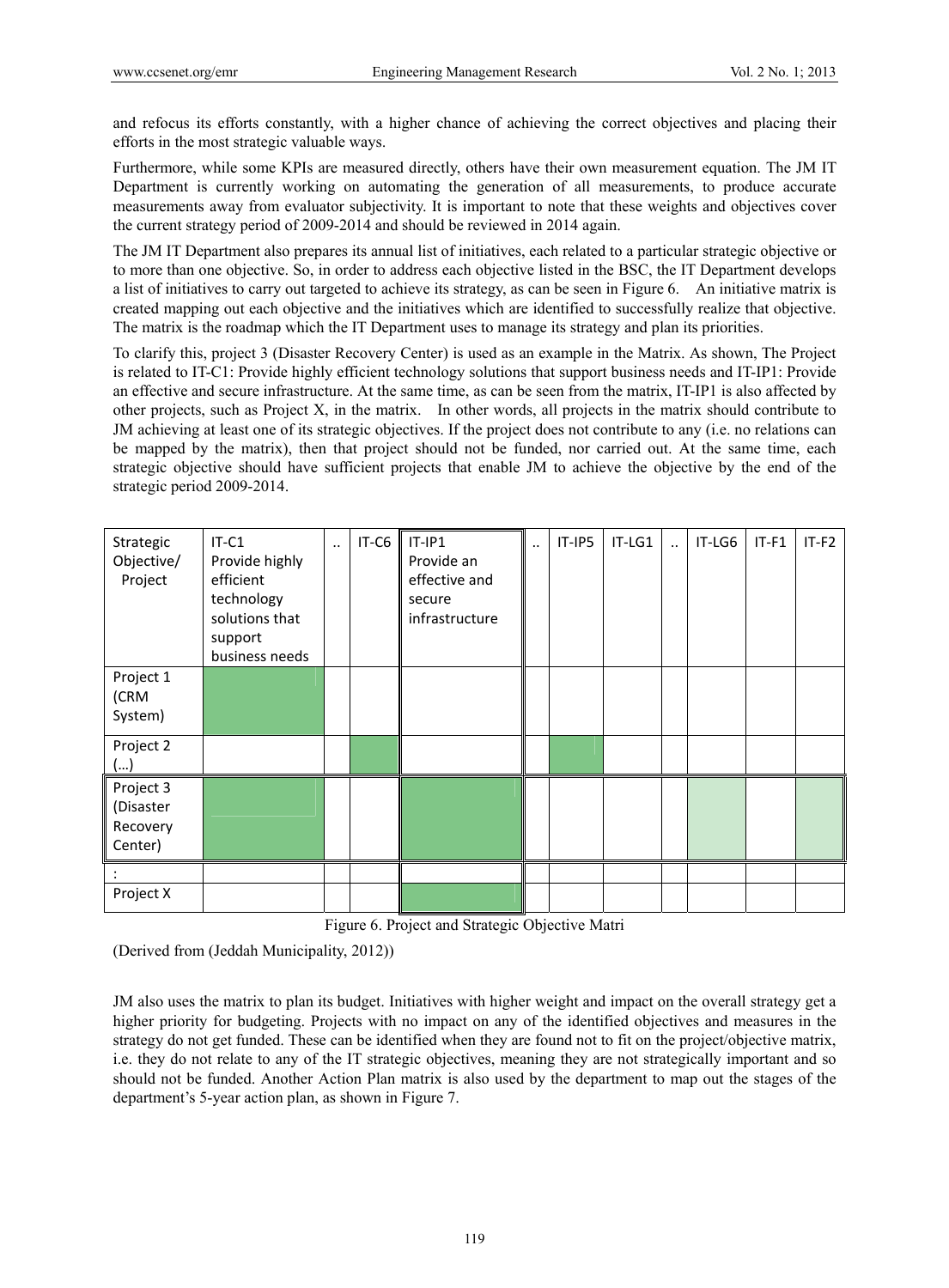and refocus its efforts constantly, with a higher chance of achieving the correct objectives and placing their efforts in the most strategic valuable ways.

Furthermore, while some KPIs are measured directly, others have their own measurement equation. The JM IT Department is currently working on automating the generation of all measurements, to produce accurate measurements away from evaluator subjectivity. It is important to note that these weights and objectives cover the current strategy period of 2009-2014 and should be reviewed in 2014 again.

The JM IT Department also prepares its annual list of initiatives, each related to a particular strategic objective or to more than one objective. So, in order to address each objective listed in the BSC, the IT Department develops a list of initiatives to carry out targeted to achieve its strategy, as can be seen in Figure 6. An initiative matrix is created mapping out each objective and the initiatives which are identified to successfully realize that objective. The matrix is the roadmap which the IT Department uses to manage its strategy and plan its priorities.

To clarify this, project 3 (Disaster Recovery Center) is used as an example in the Matrix. As shown, The Project is related to IT-C1: Provide highly efficient technology solutions that support business needs and IT-IP1: Provide an effective and secure infrastructure. At the same time, as can be seen from the matrix, IT-IP1 is also affected by other projects, such as Project X, in the matrix. In other words, all projects in the matrix should contribute to JM achieving at least one of its strategic objectives. If the project does not contribute to any (i.e. no relations can be mapped by the matrix), then that project should not be funded, nor carried out. At the same time, each strategic objective should have sufficient projects that enable JM to achieve the objective by the end of the strategic period 2009-2014.

| Strategic<br>Objective/<br>Project            | $IT-C1$<br>Provide highly<br>efficient<br>technology<br>solutions that<br>support<br>business needs | $\ddotsc$ | IT-C6 | $IT-IP1$<br>Provide an<br>effective and<br>secure<br>infrastructure | $\ddot{\phantom{0}}$ | $IT-IP5$ | IT-LG1 | $\ddot{\phantom{a}}$ | IT-LG6 | $IT-F1$ | $IT-F2$ |
|-----------------------------------------------|-----------------------------------------------------------------------------------------------------|-----------|-------|---------------------------------------------------------------------|----------------------|----------|--------|----------------------|--------|---------|---------|
| Project 1<br>(CRM<br>System)                  |                                                                                                     |           |       |                                                                     |                      |          |        |                      |        |         |         |
| Project 2<br>()                               |                                                                                                     |           |       |                                                                     |                      |          |        |                      |        |         |         |
| Project 3<br>(Disaster<br>Recovery<br>Center) |                                                                                                     |           |       |                                                                     |                      |          |        |                      |        |         |         |
| Project X                                     |                                                                                                     |           |       |                                                                     |                      |          |        |                      |        |         |         |

Figure 6. Project and Strategic Objective Matri

(Derived from (Jeddah Municipality, 2012))

JM also uses the matrix to plan its budget. Initiatives with higher weight and impact on the overall strategy get a higher priority for budgeting. Projects with no impact on any of the identified objectives and measures in the strategy do not get funded. These can be identified when they are found not to fit on the project/objective matrix, i.e. they do not relate to any of the IT strategic objectives, meaning they are not strategically important and so should not be funded. Another Action Plan matrix is also used by the department to map out the stages of the department's 5-year action plan, as shown in Figure 7.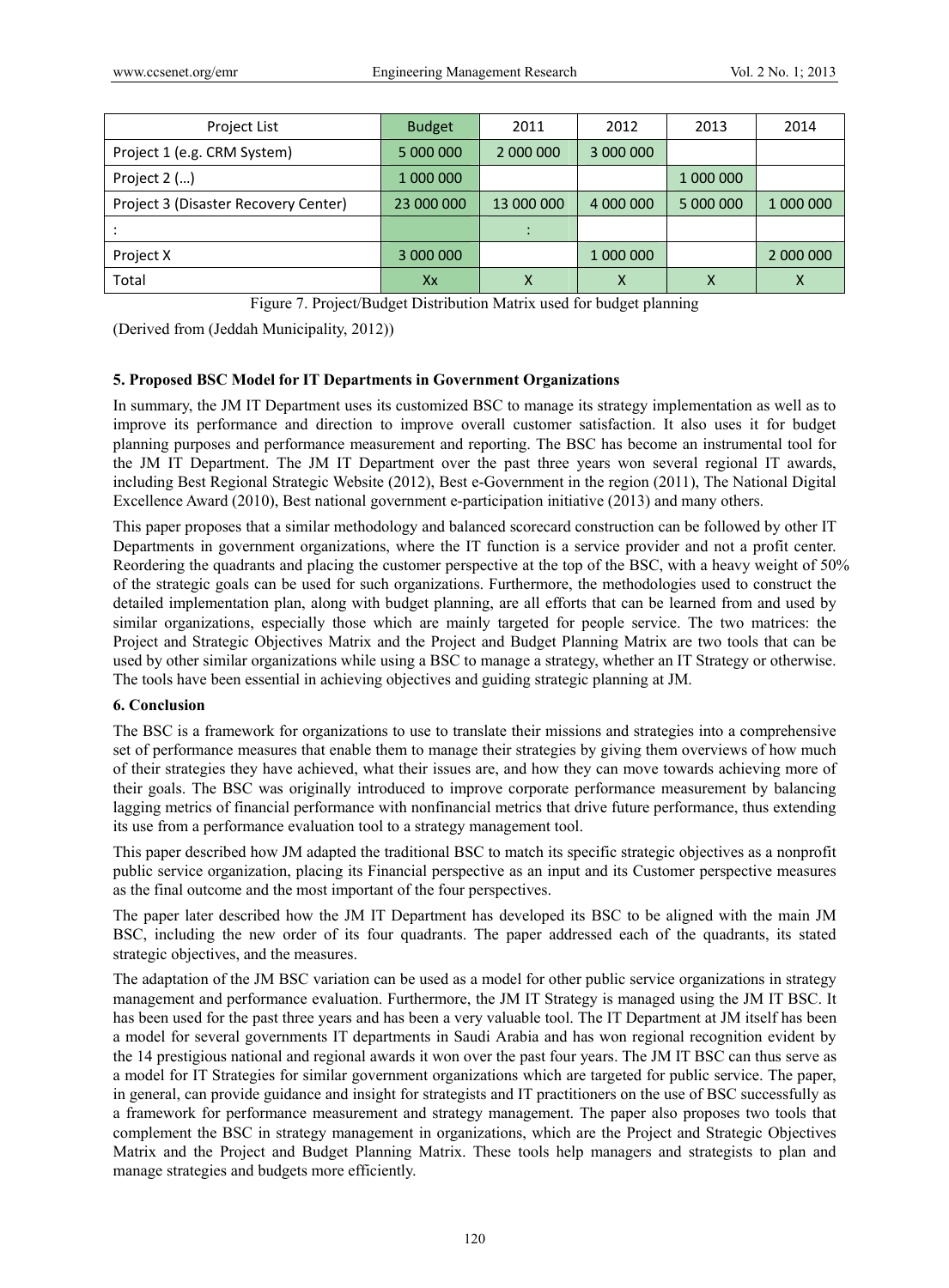| Project List                         | <b>Budget</b> | 2011       | 2012      | 2013      | 2014      |
|--------------------------------------|---------------|------------|-----------|-----------|-----------|
| Project 1 (e.g. CRM System)          | 5 000 000     | 2 000 000  | 3 000 000 |           |           |
| Project $2$ $()$                     | 1 000 000     |            |           | 1 000 000 |           |
| Project 3 (Disaster Recovery Center) | 23 000 000    | 13 000 000 | 4 000 000 | 5 000 000 | 1 000 000 |
|                                      |               |            |           |           |           |
| Project X                            | 3 000 000     |            | 1 000 000 |           | 2 000 000 |
| Total                                | Xx            | х          | x         |           | х         |

Figure 7. Project/Budget Distribution Matrix used for budget planning

(Derived from (Jeddah Municipality, 2012))

### **5. Proposed BSC Model for IT Departments in Government Organizations**

In summary, the JM IT Department uses its customized BSC to manage its strategy implementation as well as to improve its performance and direction to improve overall customer satisfaction. It also uses it for budget planning purposes and performance measurement and reporting. The BSC has become an instrumental tool for the JM IT Department. The JM IT Department over the past three years won several regional IT awards, including Best Regional Strategic Website (2012), Best e-Government in the region (2011), The National Digital Excellence Award (2010), Best national government e-participation initiative (2013) and many others.

This paper proposes that a similar methodology and balanced scorecard construction can be followed by other IT Departments in government organizations, where the IT function is a service provider and not a profit center. Reordering the quadrants and placing the customer perspective at the top of the BSC, with a heavy weight of 50% of the strategic goals can be used for such organizations. Furthermore, the methodologies used to construct the detailed implementation plan, along with budget planning, are all efforts that can be learned from and used by similar organizations, especially those which are mainly targeted for people service. The two matrices: the Project and Strategic Objectives Matrix and the Project and Budget Planning Matrix are two tools that can be used by other similar organizations while using a BSC to manage a strategy, whether an IT Strategy or otherwise. The tools have been essential in achieving objectives and guiding strategic planning at JM.

#### **6. Conclusion**

The BSC is a framework for organizations to use to translate their missions and strategies into a comprehensive set of performance measures that enable them to manage their strategies by giving them overviews of how much of their strategies they have achieved, what their issues are, and how they can move towards achieving more of their goals. The BSC was originally introduced to improve corporate performance measurement by balancing lagging metrics of financial performance with nonfinancial metrics that drive future performance, thus extending its use from a performance evaluation tool to a strategy management tool.

This paper described how JM adapted the traditional BSC to match its specific strategic objectives as a nonprofit public service organization, placing its Financial perspective as an input and its Customer perspective measures as the final outcome and the most important of the four perspectives.

The paper later described how the JM IT Department has developed its BSC to be aligned with the main JM BSC, including the new order of its four quadrants. The paper addressed each of the quadrants, its stated strategic objectives, and the measures.

The adaptation of the JM BSC variation can be used as a model for other public service organizations in strategy management and performance evaluation. Furthermore, the JM IT Strategy is managed using the JM IT BSC. It has been used for the past three years and has been a very valuable tool. The IT Department at JM itself has been a model for several governments IT departments in Saudi Arabia and has won regional recognition evident by the 14 prestigious national and regional awards it won over the past four years. The JM IT BSC can thus serve as a model for IT Strategies for similar government organizations which are targeted for public service. The paper, in general, can provide guidance and insight for strategists and IT practitioners on the use of BSC successfully as a framework for performance measurement and strategy management. The paper also proposes two tools that complement the BSC in strategy management in organizations, which are the Project and Strategic Objectives Matrix and the Project and Budget Planning Matrix. These tools help managers and strategists to plan and manage strategies and budgets more efficiently.